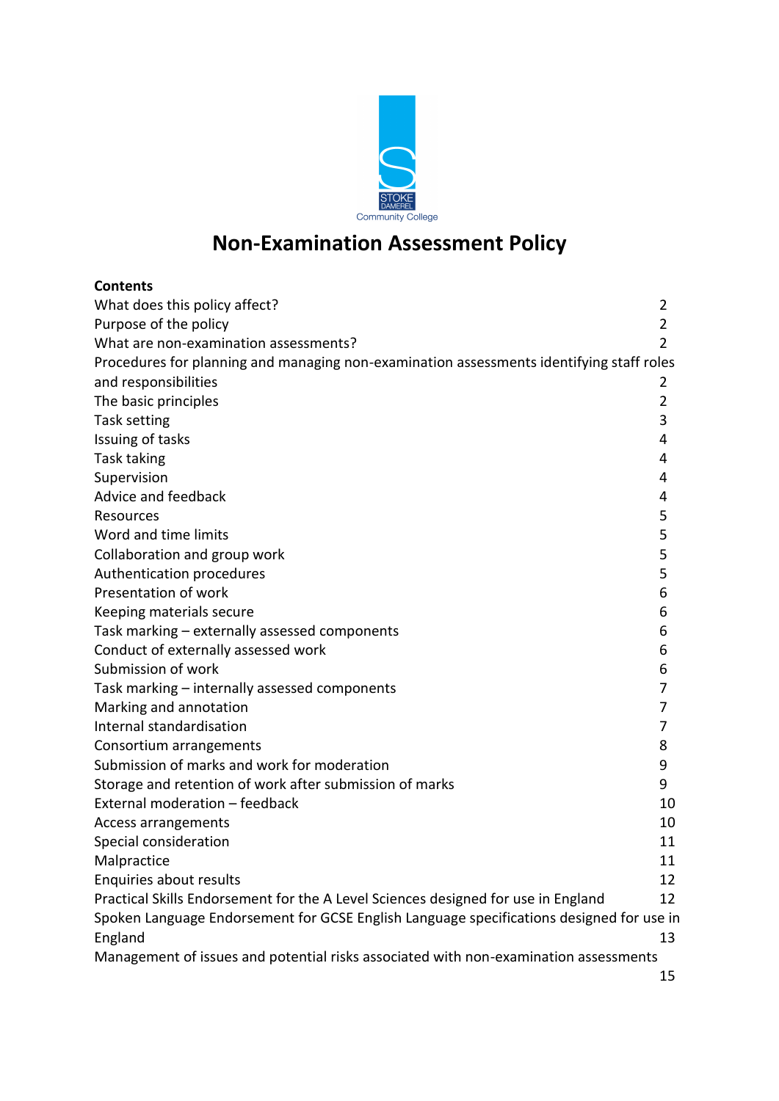

# **Non-Examination Assessment Policy**

| <b>Contents</b>                                                                          |                |
|------------------------------------------------------------------------------------------|----------------|
| What does this policy affect?                                                            | 2              |
| Purpose of the policy                                                                    | $\overline{2}$ |
| What are non-examination assessments?                                                    | $\overline{2}$ |
| Procedures for planning and managing non-examination assessments identifying staff roles |                |
| and responsibilities                                                                     | 2              |
| The basic principles                                                                     | $\overline{2}$ |
| Task setting                                                                             | 3              |
| Issuing of tasks                                                                         | 4              |
| Task taking                                                                              | 4              |
| Supervision                                                                              | 4              |
| Advice and feedback                                                                      | 4              |
| Resources                                                                                | 5              |
| Word and time limits                                                                     | 5              |
| Collaboration and group work                                                             | 5              |
| Authentication procedures                                                                | 5              |
| Presentation of work                                                                     | 6              |
| Keeping materials secure                                                                 | 6              |
| Task marking - externally assessed components                                            | 6              |
| Conduct of externally assessed work                                                      | 6              |
| Submission of work                                                                       | 6              |
| Task marking - internally assessed components                                            | 7              |
| Marking and annotation                                                                   | 7              |
| Internal standardisation                                                                 | 7              |
| Consortium arrangements                                                                  | 8              |
| Submission of marks and work for moderation                                              | 9              |
| Storage and retention of work after submission of marks                                  | 9              |
| External moderation - feedback                                                           | 10             |
| Access arrangements                                                                      | 10             |
| Special consideration                                                                    | 11             |
| Malpractice                                                                              | 11             |
| Enquiries about results                                                                  | 12             |
| Practical Skills Endorsement for the A Level Sciences designed for use in England        | 12             |
| Spoken Language Endorsement for GCSE English Language specifications designed for use in |                |
| England                                                                                  | 13             |
| Management of issues and potential risks associated with non-examination assessments     |                |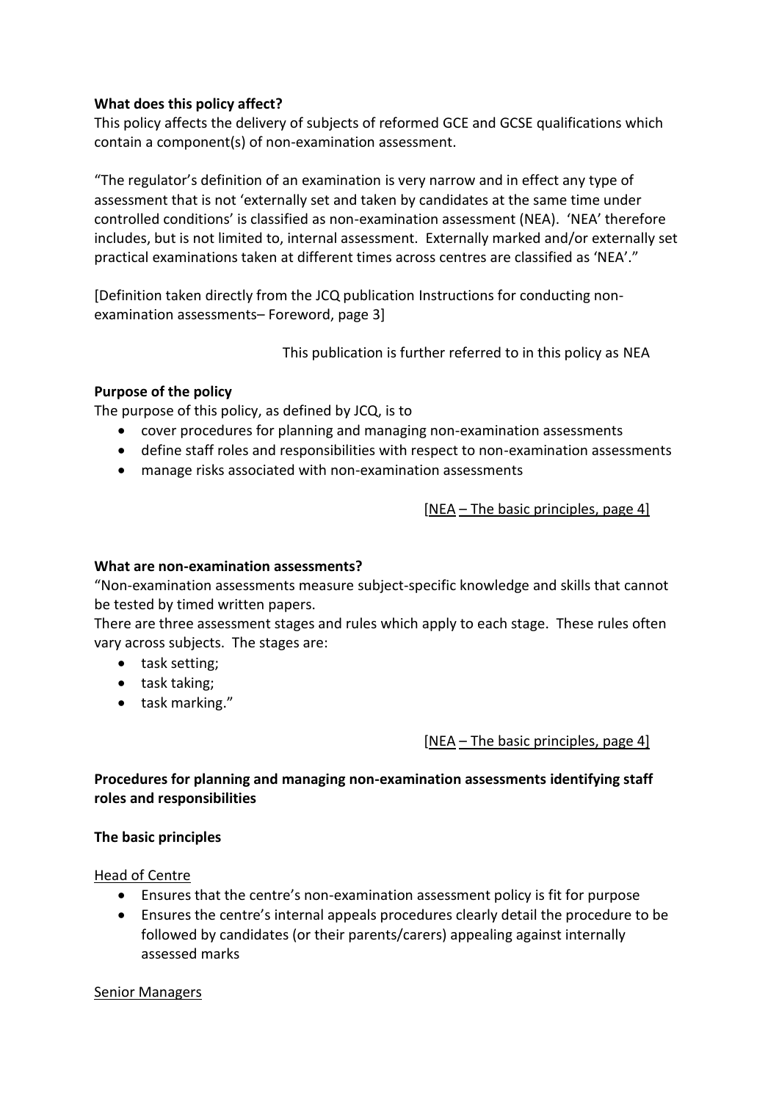#### <span id="page-1-0"></span>**What does this policy affect?**

This policy affects the delivery of subjects of reformed GCE and GCSE qualifications which contain a component(s) of non-examination assessment.

"The regulator's definition of an examination is very narrow and in effect any type of assessment that is not 'externally set and taken by candidates at the same time under controlled conditions' is classified as non-examination assessment (NEA). 'NEA' therefore includes, but is not limited to, internal assessment. Externally marked and/or externally set practical examinations taken at different times across centres are classified as 'NEA'."

[Definition taken directly from the JCQ publication [Instructions for conducting non](http://www.jcq.org.uk/exams-office/non-examination-assessments)[examination assessments](http://www.jcq.org.uk/exams-office/non-examination-assessments)– Foreword, page 3]

This publication is further referred to in this policy as [NEA](http://www.jcq.org.uk/exams-office/non-examination-assessments)

## <span id="page-1-1"></span>**Purpose of the policy**

The purpose of this policy, as defined by JCQ, is to

- cover procedures for planning and managing non-examination assessments
- define staff roles and responsibilities with respect to non-examination assessments
- manage risks associated with non-examination assessments

[\[NEA](http://www.jcq.org.uk/exams-office/non-examination-assessments) – The basic principles, page 4]

#### <span id="page-1-2"></span>**What are non-examination assessments?**

"Non-examination assessments measure subject-specific knowledge and skills that cannot be tested by timed written papers.

There are three assessment stages and rules which apply to each stage. These rules often vary across subjects. The stages are:

- task setting;
- task taking;
- task marking."

[\[NEA](http://www.jcq.org.uk/exams-office/non-examination-assessments) – The basic principles, page 4]

<span id="page-1-3"></span>**Procedures for planning and managing non-examination assessments identifying staff roles and responsibilities** 

#### <span id="page-1-4"></span>**The basic principles**

Head of Centre

- Ensures that the centre's non-examination assessment policy is fit for purpose
- Ensures the centre's internal appeals procedures clearly detail the procedure to be followed by candidates (or their parents/carers) appealing against internally assessed marks

#### Senior Managers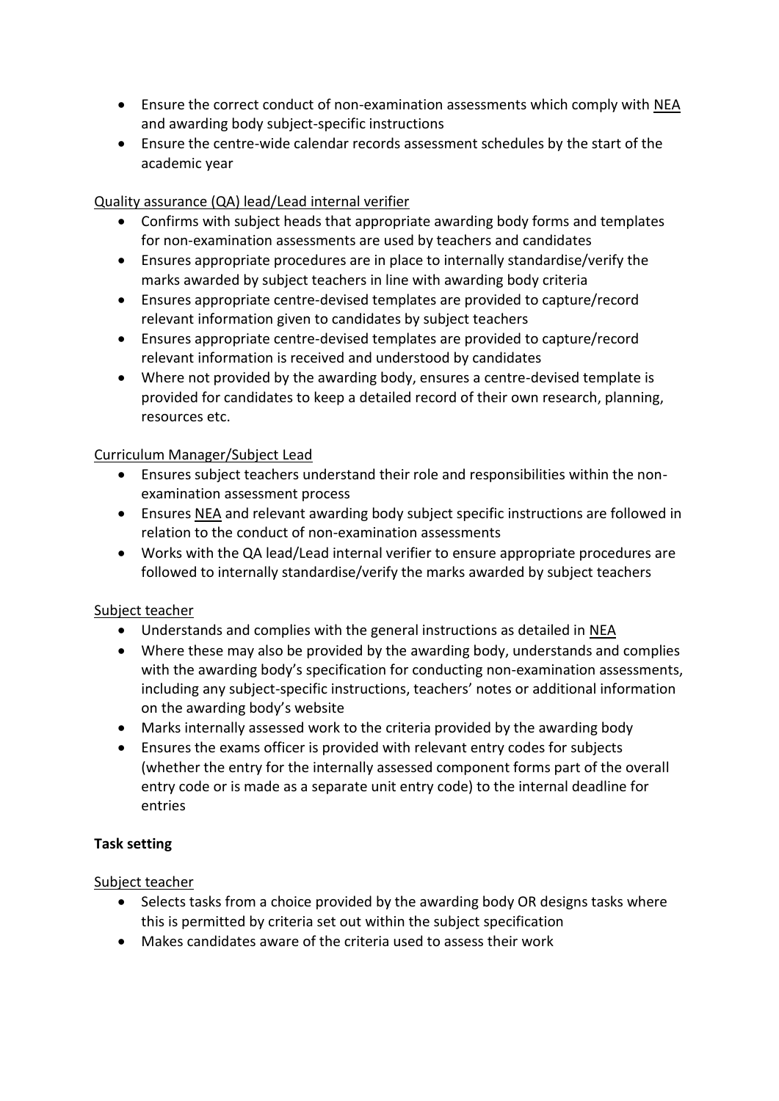- Ensure the correct conduct of non-examination assessments which comply with [NEA](http://www.jcq.org.uk/exams-office/non-examination-assessments) and awarding body subject-specific instructions
- Ensure the centre-wide calendar records assessment schedules by the start of the academic year

## Quality assurance (QA) lead/Lead internal verifier

- Confirms with subject heads that appropriate awarding body forms and templates for non-examination assessments are used by teachers and candidates
- Ensures appropriate procedures are in place to internally standardise/verify the marks awarded by subject teachers in line with awarding body criteria
- Ensures appropriate centre-devised templates are provided to capture/record relevant information given to candidates by subject teachers
- Ensures appropriate centre-devised templates are provided to capture/record relevant information is received and understood by candidates
- Where not provided by the awarding body, ensures a centre-devised template is provided for candidates to keep a detailed record of their own research, planning, resources etc.

## Curriculum Manager/Subject Lead

- Ensures subject teachers understand their role and responsibilities within the nonexamination assessment process
- Ensure[s NEA](http://www.jcq.org.uk/exams-office/non-examination-assessments) and relevant awarding body subject specific instructions are followed in relation to the conduct of non-examination assessments
- Works with the QA lead/Lead internal verifier to ensure appropriate procedures are followed to internally standardise/verify the marks awarded by subject teachers

## Subject teacher

- Understands and complies with the general instructions as detailed in [NEA](http://www.jcq.org.uk/exams-office/non-examination-assessments)
- Where these may also be provided by the awarding body, understands and complies with the awarding body's specification for conducting non-examination assessments, including any subject-specific instructions, teachers' notes or additional information on the awarding body's website
- Marks internally assessed work to the criteria provided by the awarding body
- Ensures the exams officer is provided with relevant entry codes for subjects (whether the entry for the internally assessed component forms part of the overall entry code or is made as a separate unit entry code) to the internal deadline for entries

#### <span id="page-2-0"></span>**Task setting**

- Selects tasks from a choice provided by the awarding body OR designs tasks where this is permitted by criteria set out within the subject specification
- Makes candidates aware of the criteria used to assess their work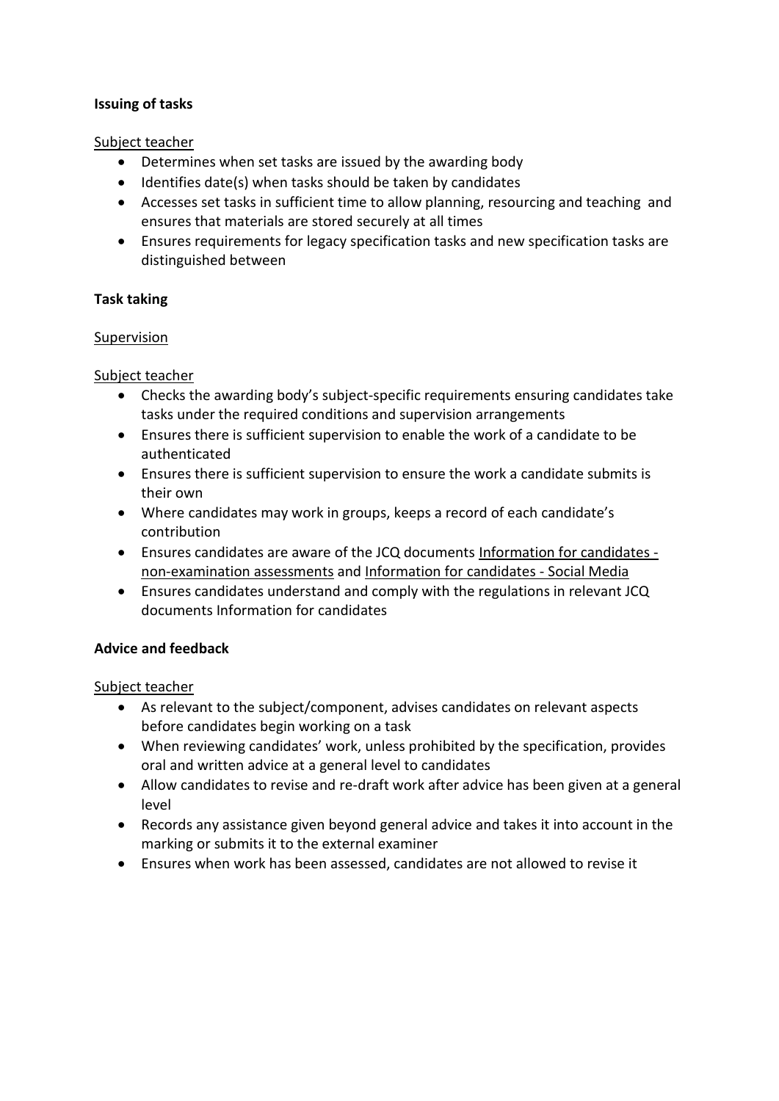## <span id="page-3-0"></span>**Issuing of tasks**

#### Subject teacher

- Determines when set tasks are issued by the awarding body
- Identifies date(s) when tasks should be taken by candidates
- Accesses set tasks in sufficient time to allow planning, resourcing and teaching and ensures that materials are stored securely at all times
- Ensures requirements for legacy specification tasks and new specification tasks are distinguished between

#### <span id="page-3-1"></span>**Task taking**

#### <span id="page-3-2"></span>Supervision

#### Subject teacher

- Checks the awarding body's subject-specific requirements ensuring candidates take tasks under the required conditions and supervision arrangements
- Ensures there is sufficient supervision to enable the work of a candidate to be authenticated
- Ensures there is sufficient supervision to ensure the work a candidate submits is their own
- Where candidates may work in groups, keeps a record of each candidate's contribution
- Ensures candidates are aware of the JCQ documents [Information for candidates](http://www.jcq.org.uk/exams-office/information-for-candidates-documents)  [non-examination assessments](http://www.jcq.org.uk/exams-office/information-for-candidates-documents) and [Information for candidates - Social Media](http://www.jcq.org.uk/exams-office/information-for-candidates-documents)
- Ensures candidates understand and comply with the regulations in relevant JCQ documents Information for candidates

## <span id="page-3-3"></span>**Advice and feedback**

- As relevant to the subject/component, advises candidates on relevant aspects before candidates begin working on a task
- When reviewing candidates' work, unless prohibited by the specification, provides oral and written advice at a general level to candidates
- Allow candidates to revise and re-draft work after advice has been given at a general level
- Records any assistance given beyond general advice and takes it into account in the marking or submits it to the external examiner
- Ensures when work has been assessed, candidates are not allowed to revise it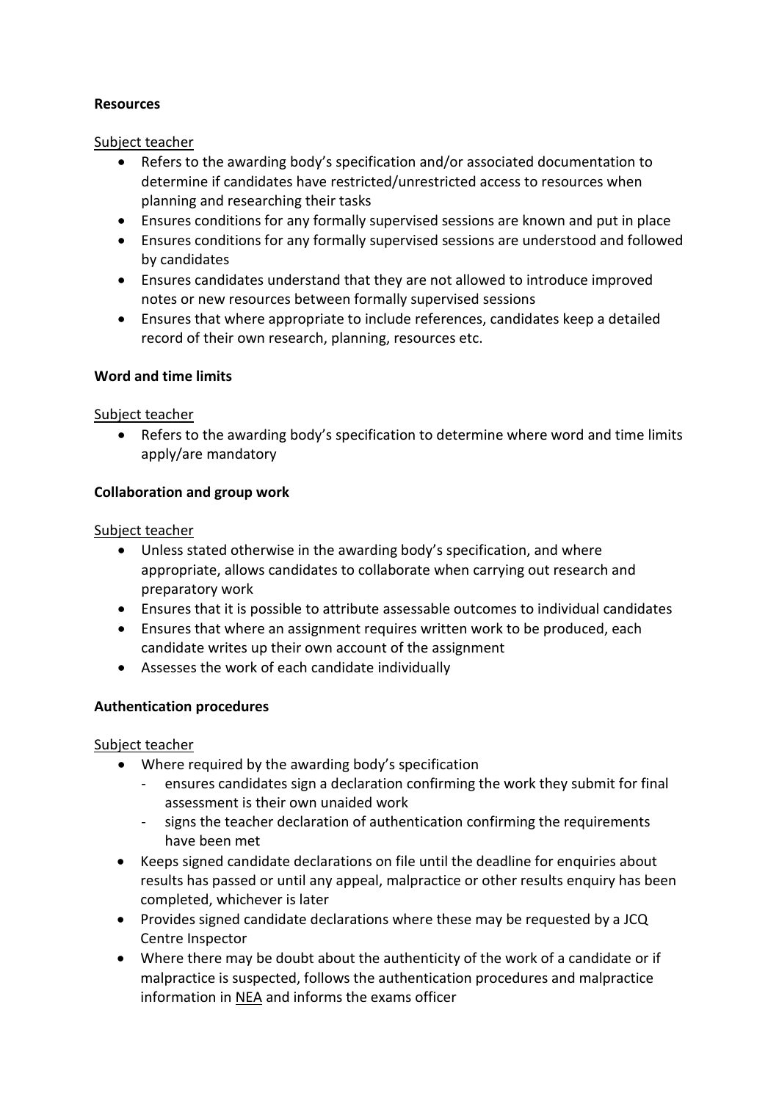## <span id="page-4-0"></span>**Resources**

#### Subject teacher

- Refers to the awarding body's specification and/or associated documentation to determine if candidates have restricted/unrestricted access to resources when planning and researching their tasks
- Ensures conditions for any formally supervised sessions are known and put in place
- Ensures conditions for any formally supervised sessions are understood and followed by candidates
- Ensures candidates understand that they are not allowed to introduce improved notes or new resources between formally supervised sessions
- Ensures that where appropriate to include references, candidates keep a detailed record of their own research, planning, resources etc.

## <span id="page-4-1"></span>**Word and time limits**

#### Subject teacher

 Refers to the awarding body's specification to determine where word and time limits apply/are mandatory

## <span id="page-4-2"></span>**Collaboration and group work**

#### Subject teacher

- Unless stated otherwise in the awarding body's specification, and where appropriate, allows candidates to collaborate when carrying out research and preparatory work
- Ensures that it is possible to attribute assessable outcomes to individual candidates
- Ensures that where an assignment requires written work to be produced, each candidate writes up their own account of the assignment
- Assesses the work of each candidate individually

## <span id="page-4-3"></span>**Authentication procedures**

- Where required by the awarding body's specification
	- ensures candidates sign a declaration confirming the work they submit for final assessment is their own unaided work
	- signs the teacher declaration of authentication confirming the requirements have been met
- Keeps signed candidate declarations on file until the deadline for enquiries about results has passed or until any appeal, malpractice or other results enquiry has been completed, whichever is later
- Provides signed candidate declarations where these may be requested by a JCQ Centre Inspector
- Where there may be doubt about the authenticity of the work of a candidate or if malpractice is suspected, follows the authentication procedures and malpractice information in [NEA](http://www.jcq.org.uk/exams-office/non-examination-assessments) and informs the exams officer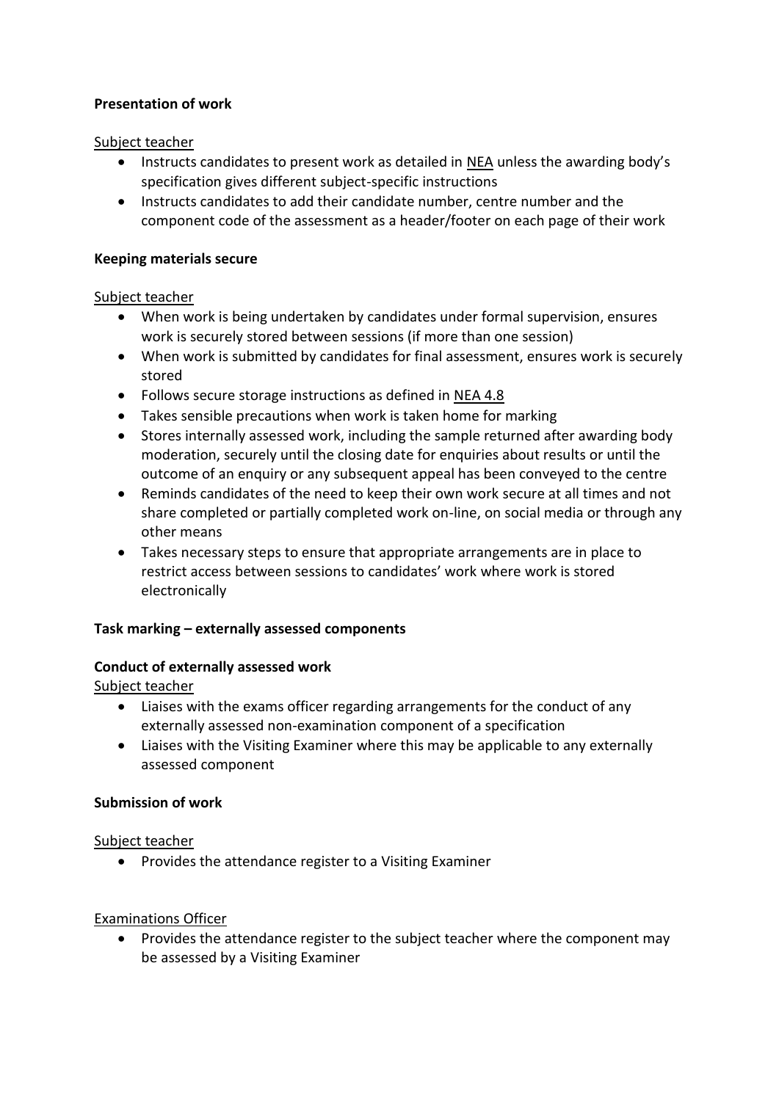## <span id="page-5-0"></span>**Presentation of work**

#### Subject teacher

- Instructs candidates to present work as detailed in [NEA](http://www.jcq.org.uk/exams-office/non-examination-assessments) unless the awarding body's specification gives different subject-specific instructions
- Instructs candidates to add their candidate number, centre number and the component code of the assessment as a header/footer on each page of their work

#### <span id="page-5-1"></span>**Keeping materials secure**

#### Subject teacher

- When work is being undertaken by candidates under formal supervision, ensures work is securely stored between sessions (if more than one session)
- When work is submitted by candidates for final assessment, ensures work is securely stored
- Follows secure storage instructions as defined in [NEA](http://www.jcq.org.uk/exams-office/non-examination-assessments) 4.8
- Takes sensible precautions when work is taken home for marking
- Stores internally assessed work, including the sample returned after awarding body moderation, securely until the closing date for enquiries about results or until the outcome of an enquiry or any subsequent appeal has been conveyed to the centre
- Reminds candidates of the need to keep their own work secure at all times and not share completed or partially completed work on-line, on social media or through any other means
- Takes necessary steps to ensure that appropriate arrangements are in place to restrict access between sessions to candidates' work where work is stored electronically

## <span id="page-5-2"></span>**Task marking – externally assessed components**

## <span id="page-5-3"></span>**Conduct of externally assessed work**

Subject teacher

- Liaises with the exams officer regarding arrangements for the conduct of any externally assessed non-examination component of a specification
- Liaises with the Visiting Examiner where this may be applicable to any externally assessed component

## <span id="page-5-4"></span>**Submission of work**

#### Subject teacher

• Provides the attendance register to a Visiting Examiner

## Examinations Officer

 Provides the attendance register to the subject teacher where the component may be assessed by a Visiting Examiner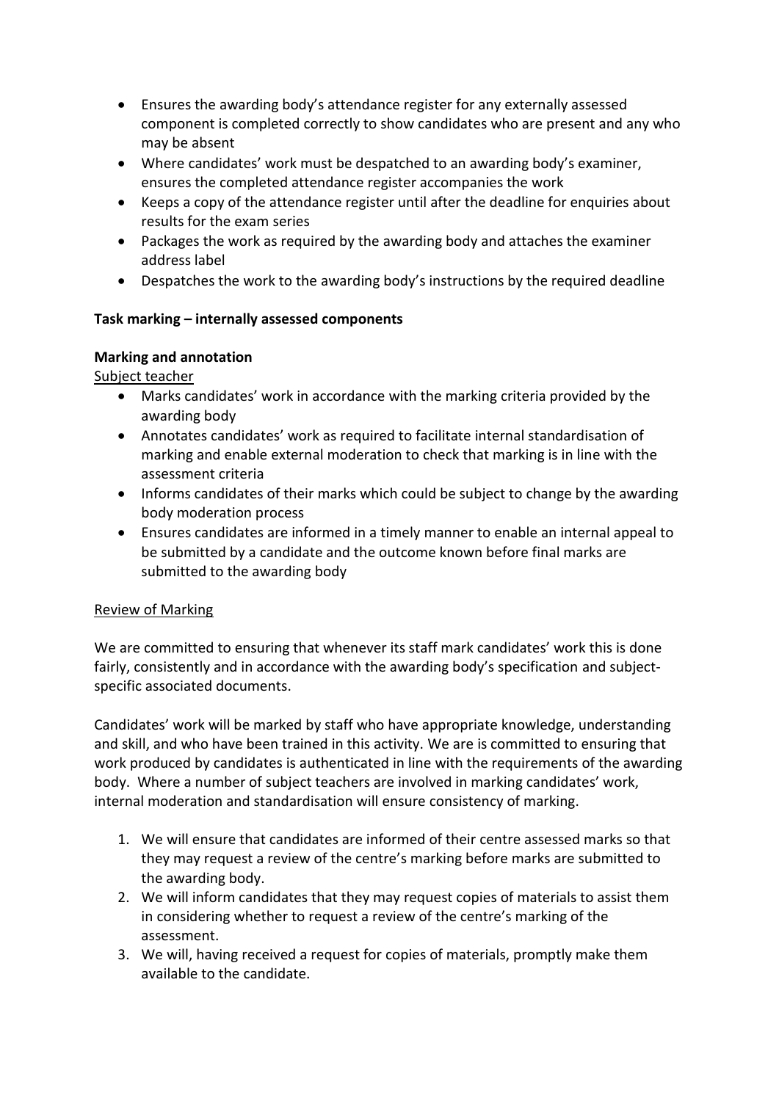- Ensures the awarding body's attendance register for any externally assessed component is completed correctly to show candidates who are present and any who may be absent
- Where candidates' work must be despatched to an awarding body's examiner, ensures the completed attendance register accompanies the work
- Keeps a copy of the attendance register until after the deadline for enquiries about results for the exam series
- Packages the work as required by the awarding body and attaches the examiner address label
- Despatches the work to the awarding body's instructions by the required deadline

## <span id="page-6-0"></span>**Task marking – internally assessed components**

## <span id="page-6-1"></span>**Marking and annotation**

Subject teacher

- Marks candidates' work in accordance with the marking criteria provided by the awarding body
- Annotates candidates' work as required to facilitate internal standardisation of marking and enable external moderation to check that marking is in line with the assessment criteria
- Informs candidates of their marks which could be subject to change by the awarding body moderation process
- Ensures candidates are informed in a timely manner to enable an internal appeal to be submitted by a candidate and the outcome known before final marks are submitted to the awarding body

## <span id="page-6-2"></span>Review of Marking

We are committed to ensuring that whenever its staff mark candidates' work this is done fairly, consistently and in accordance with the awarding body's specification and subjectspecific associated documents.

Candidates' work will be marked by staff who have appropriate knowledge, understanding and skill, and who have been trained in this activity. We are is committed to ensuring that work produced by candidates is authenticated in line with the requirements of the awarding body. Where a number of subject teachers are involved in marking candidates' work, internal moderation and standardisation will ensure consistency of marking.

- 1. We will ensure that candidates are informed of their centre assessed marks so that they may request a review of the centre's marking before marks are submitted to the awarding body.
- 2. We will inform candidates that they may request copies of materials to assist them in considering whether to request a review of the centre's marking of the assessment.
- 3. We will, having received a request for copies of materials, promptly make them available to the candidate.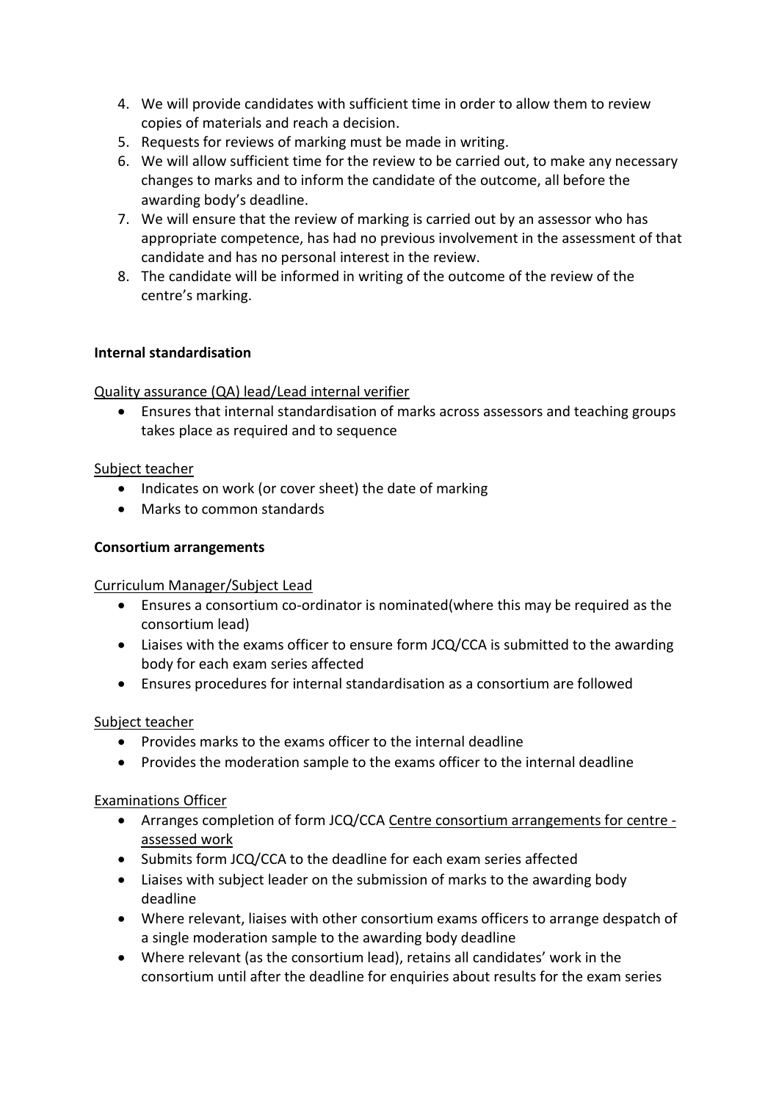- 4. We will provide candidates with sufficient time in order to allow them to review copies of materials and reach a decision.
- 5. Requests for reviews of marking must be made in writing.
- 6. We will allow sufficient time for the review to be carried out, to make any necessary changes to marks and to inform the candidate of the outcome, all before the awarding body's deadline.
- 7. We will ensure that the review of marking is carried out by an assessor who has appropriate competence, has had no previous involvement in the assessment of that candidate and has no personal interest in the review.
- 8. The candidate will be informed in writing of the outcome of the review of the centre's marking.

## **Internal standardisation**

## Quality assurance (QA) lead/Lead internal verifier

 Ensures that internal standardisation of marks across assessors and teaching groups takes place as required and to sequence

#### Subject teacher

- Indicates on work (or cover sheet) the date of marking
- Marks to common standards

#### <span id="page-7-0"></span>**Consortium arrangements**

#### Curriculum Manager/Subject Lead

- Ensures a consortium co-ordinator is nominated(where this may be required as the consortium lead)
- Liaises with the exams officer to ensure form JCQ/CCA is submitted to the awarding body for each exam series affected
- Ensures procedures for internal standardisation as a consortium are followed

## Subject teacher

- Provides marks to the exams officer to the internal deadline
- Provides the moderation sample to the exams officer to the internal deadline

## Examinations Officer

- Arranges completion of form JCQ/CCA [Centre consortium arrangements for centre](http://www.jcq.org.uk/exams-office/forms)  [assessed work](http://www.jcq.org.uk/exams-office/forms)
- Submits form JCQ/CCA to the deadline for each exam series affected
- Liaises with subject leader on the submission of marks to the awarding body deadline
- Where relevant, liaises with other consortium exams officers to arrange despatch of a single moderation sample to the awarding body deadline
- Where relevant (as the consortium lead), retains all candidates' work in the consortium until after the deadline for enquiries about results for the exam series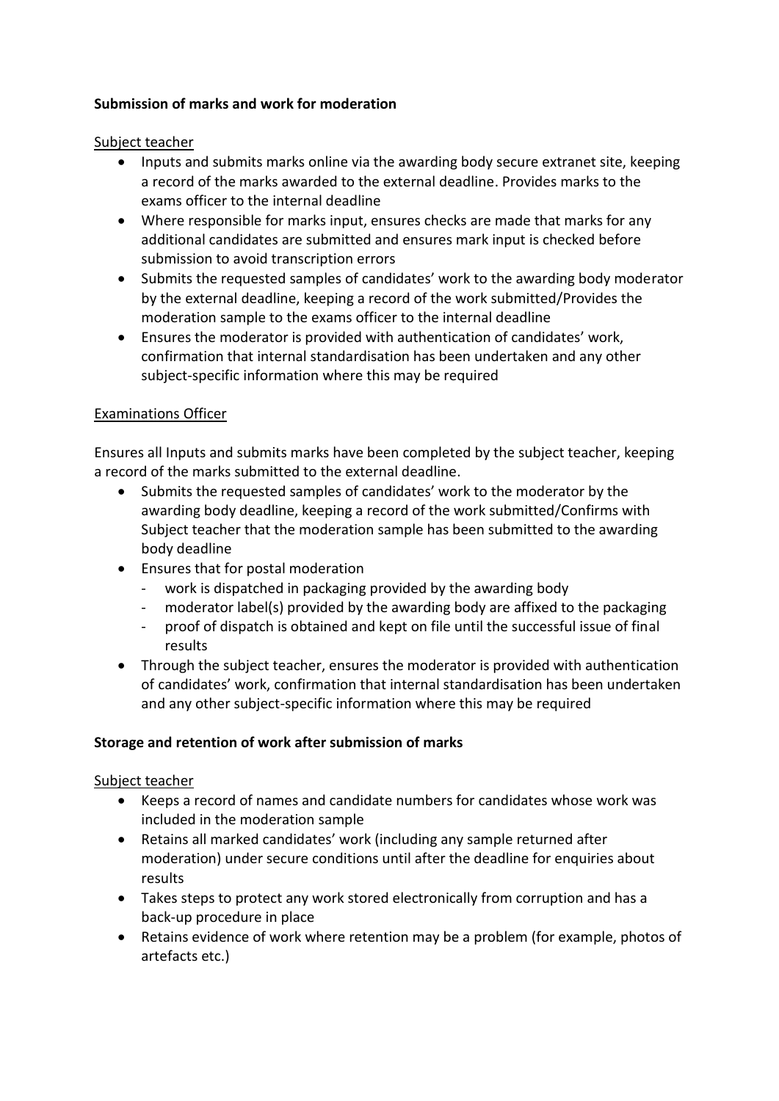## <span id="page-8-0"></span>**Submission of marks and work for moderation**

#### Subject teacher

- Inputs and submits marks online via the awarding body secure extranet site, keeping a record of the marks awarded to the external deadline. Provides marks to the exams officer to the internal deadline
- Where responsible for marks input, ensures checks are made that marks for any additional candidates are submitted and ensures mark input is checked before submission to avoid transcription errors
- Submits the requested samples of candidates' work to the awarding body moderator by the external deadline, keeping a record of the work submitted/Provides the moderation sample to the exams officer to the internal deadline
- Ensures the moderator is provided with authentication of candidates' work, confirmation that internal standardisation has been undertaken and any other subject-specific information where this may be required

## Examinations Officer

Ensures all Inputs and submits marks have been completed by the subject teacher, keeping a record of the marks submitted to the external deadline.

- Submits the requested samples of candidates' work to the moderator by the awarding body deadline, keeping a record of the work submitted/Confirms with Subject teacher that the moderation sample has been submitted to the awarding body deadline
- Ensures that for postal moderation
	- work is dispatched in packaging provided by the awarding body
	- moderator label(s) provided by the awarding body are affixed to the packaging
	- proof of dispatch is obtained and kept on file until the successful issue of final results
- Through the subject teacher, ensures the moderator is provided with authentication of candidates' work, confirmation that internal standardisation has been undertaken and any other subject-specific information where this may be required

## <span id="page-8-1"></span>**Storage and retention of work after submission of marks**

- Keeps a record of names and candidate numbers for candidates whose work was included in the moderation sample
- Retains all marked candidates' work (including any sample returned after moderation) under secure conditions until after the deadline for enquiries about results
- Takes steps to protect any work stored electronically from corruption and has a back-up procedure in place
- Retains evidence of work where retention may be a problem (for example, photos of artefacts etc.)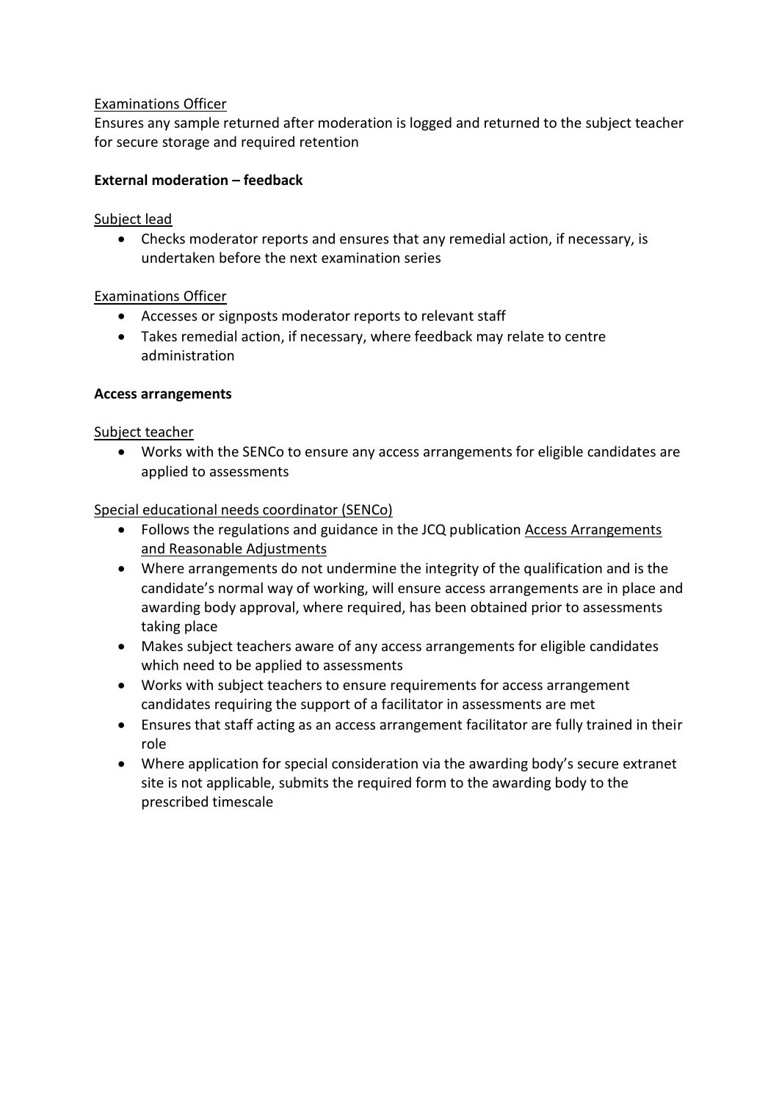## Examinations Officer

Ensures any sample returned after moderation is logged and returned to the subject teacher for secure storage and required retention

#### <span id="page-9-0"></span>**External moderation – feedback**

#### Subject lead

 Checks moderator reports and ensures that any remedial action, if necessary, is undertaken before the next examination series

#### Examinations Officer

- Accesses or signposts moderator reports to relevant staff
- Takes remedial action, if necessary, where feedback may relate to centre administration

#### <span id="page-9-1"></span>**Access arrangements**

#### Subject teacher

 Works with the SENCo to ensure any access arrangements for eligible candidates are applied to assessments

#### Special educational needs coordinator (SENCo)

- Follows the regulations and guidance in the JCQ publication [Access Arrangements](http://www.jcq.org.uk/exams-office/access-arrangements-and-special-consideration) [and Reasonable Adjustments](http://www.jcq.org.uk/exams-office/access-arrangements-and-special-consideration)
- Where arrangements do not undermine the integrity of the qualification and is the candidate's normal way of working, will ensure access arrangements are in place and awarding body approval, where required, has been obtained prior to assessments taking place
- Makes subject teachers aware of any access arrangements for eligible candidates which need to be applied to assessments
- Works with subject teachers to ensure requirements for access arrangement candidates requiring the support of a facilitator in assessments are met
- Ensures that staff acting as an access arrangement facilitator are fully trained in their role
- Where application for special consideration via the awarding body's secure extranet site is not applicable, submits the required form to the awarding body to the prescribed timescale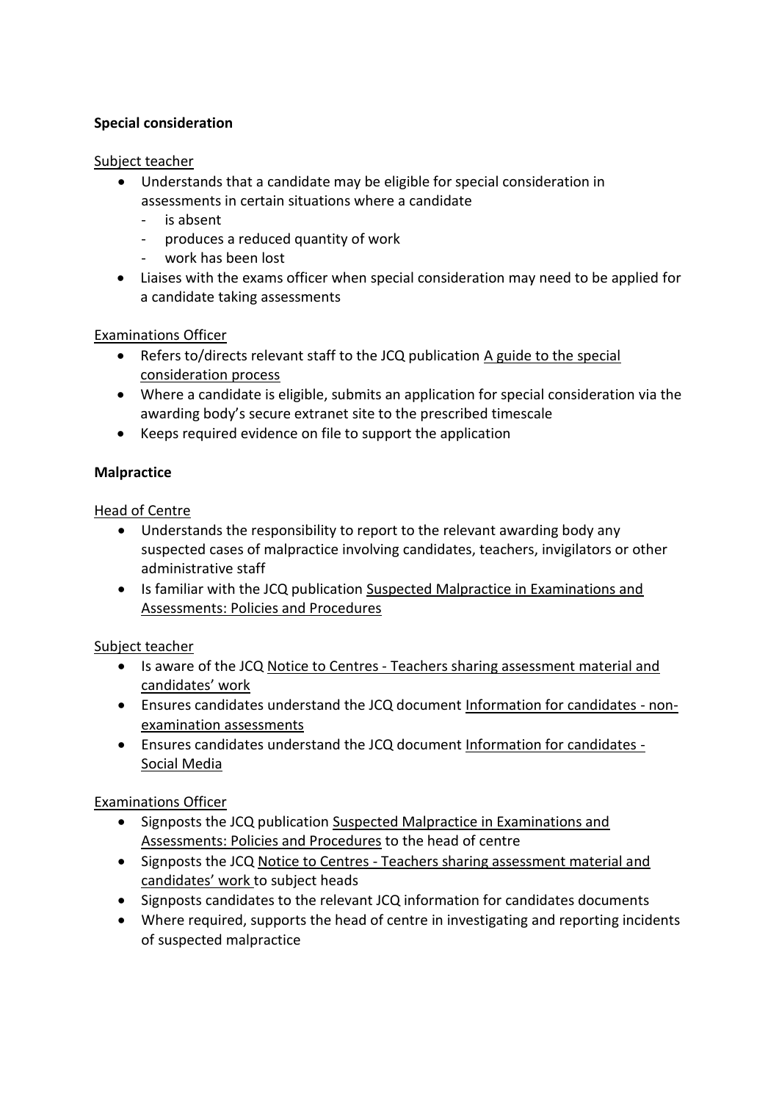## <span id="page-10-0"></span>**Special consideration**

#### Subject teacher

- Understands that a candidate may be eligible for special consideration in assessments in certain situations where a candidate
	- is absent
	- produces a reduced quantity of work
	- work has been lost
- Liaises with the exams officer when special consideration may need to be applied for a candidate taking assessments

## Examinations Officer

- Refers to/directs relevant staff to the JCQ publication [A guide to the special](http://www.jcq.org.uk/exams-office/access-arrangements-and-special-consideration) [consideration process](http://www.jcq.org.uk/exams-office/access-arrangements-and-special-consideration)
- Where a candidate is eligible, submits an application for special consideration via the awarding body's secure extranet site to the prescribed timescale
- Keeps required evidence on file to support the application

## <span id="page-10-1"></span>**Malpractice**

#### Head of Centre

- Understands the responsibility to report to the relevant awarding body any suspected cases of malpractice involving candidates, teachers, invigilators or other administrative staff
- Is familiar with the JCQ publication [Suspected Malpractice in Examinations and](http://www.jcq.org.uk/exams-office/malpractice) [Assessments: Policies and Procedures](http://www.jcq.org.uk/exams-office/malpractice)

## Subject teacher

- Is aware of the JCQ [Notice to Centres Teachers sharing assessment material and](http://www.jcq.org.uk/exams-office/non-examination-assessments) [candidates' work](http://www.jcq.org.uk/exams-office/non-examination-assessments)
- Ensures candidates understand the JCQ document [Information for candidates non](http://www.jcq.org.uk/exams-office/information-for-candidates-documents)[examination assessments](http://www.jcq.org.uk/exams-office/information-for-candidates-documents)
- Ensures candidates understand the JCQ document [Information for candidates -](http://www.jcq.org.uk/exams-office/information-for-candidates-documents) [Social Media](http://www.jcq.org.uk/exams-office/information-for-candidates-documents)

## Examinations Officer

- Signposts the JCQ publication [Suspected Malpractice in Examinations and](http://www.jcq.org.uk/exams-office/malpractice) [Assessments: Policies and Procedures](http://www.jcq.org.uk/exams-office/malpractice) to the head of centre
- Signposts the JCQ [Notice to Centres Teachers sharing assessment material and](http://www.jcq.org.uk/exams-office/non-examination-assessments) [candidates' work](http://www.jcq.org.uk/exams-office/non-examination-assessments) to subject heads
- Signposts candidates to the relevant JCQ information for candidates documents
- <span id="page-10-2"></span> Where required, supports the head of centre in investigating and reporting incidents of suspected malpractice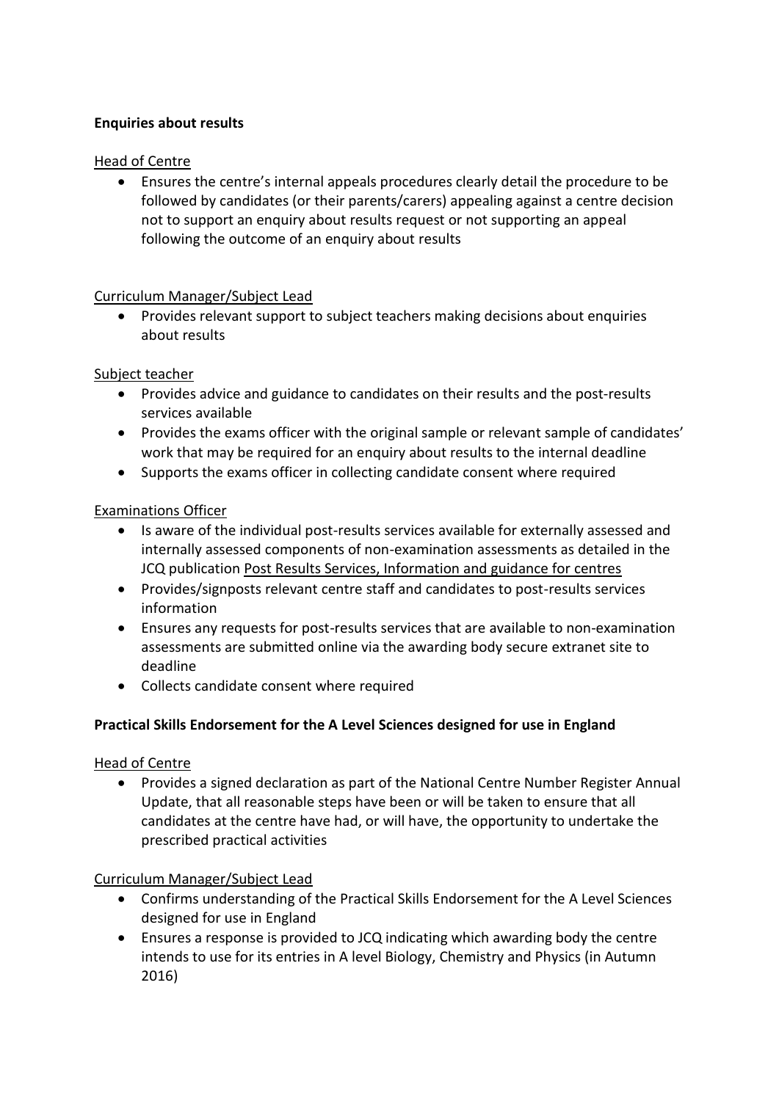## **Enquiries about results**

## Head of Centre

 Ensures the centre's internal appeals procedures clearly detail the procedure to be followed by candidates (or their parents/carers) appealing against a centre decision not to support an enquiry about results request or not supporting an appeal following the outcome of an enquiry about results

#### Curriculum Manager/Subject Lead

 Provides relevant support to subject teachers making decisions about enquiries about results

#### Subject teacher

- Provides advice and guidance to candidates on their results and the post-results services available
- Provides the exams officer with the original sample or relevant sample of candidates' work that may be required for an enquiry about results to the internal deadline
- Supports the exams officer in collecting candidate consent where required

## Examinations Officer

- Is aware of the individual post-results services available for externally assessed and internally assessed components of non-examination assessments as detailed in the JCQ publication [Post Results Services, Information and guidance for centres](http://www.jcq.org.uk/exams-office/post-results-services)
- Provides/signposts relevant centre staff and candidates to post-results services information
- Ensures any requests for post-results services that are available to non-examination assessments are submitted online via the awarding body secure extranet site to deadline
- Collects candidate consent where required

## <span id="page-11-0"></span>**Practical Skills Endorsement for the A Level Sciences designed for use in England**

## Head of Centre

 Provides a signed declaration as part of the National Centre Number Register Annual Update, that all reasonable steps have been or will be taken to ensure that all candidates at the centre have had, or will have, the opportunity to undertake the prescribed practical activities

## Curriculum Manager/Subject Lead

- Confirms understanding of the Practical Skills Endorsement for the A Level Sciences designed for use in England
- Ensures a response is provided to JCQ indicating which awarding body the centre intends to use for its entries in A level Biology, Chemistry and Physics (in Autumn 2016)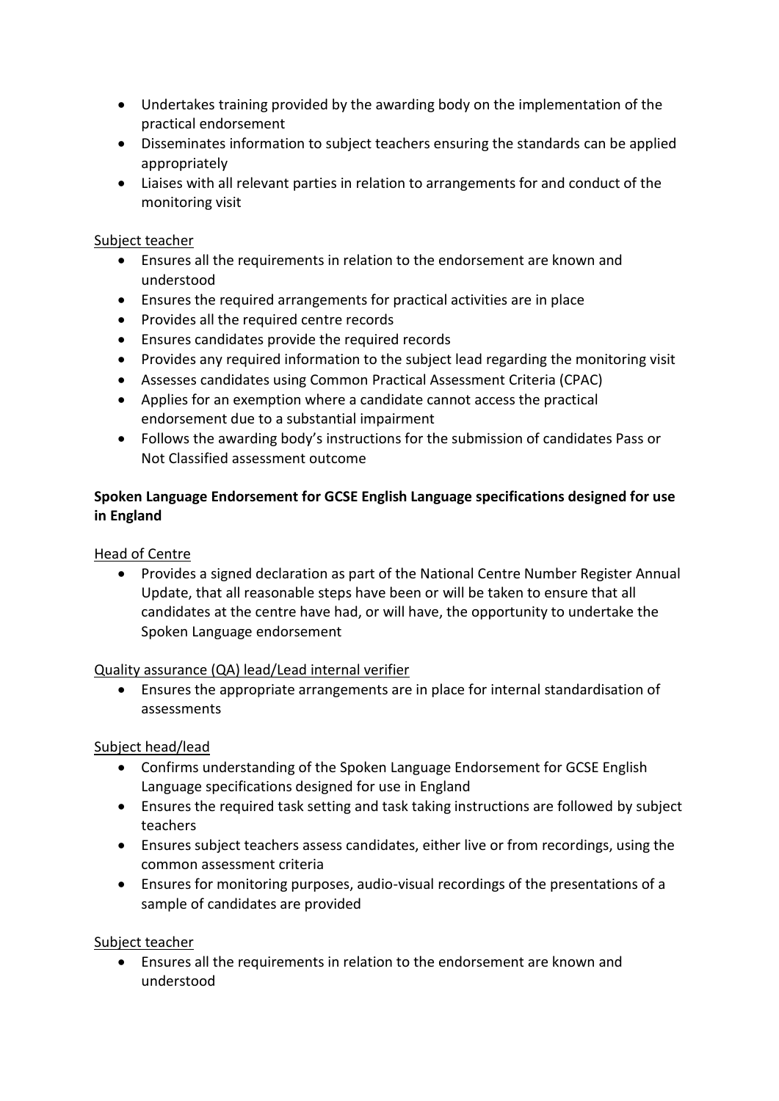- Undertakes training provided by the awarding body on the implementation of the practical endorsement
- Disseminates information to subject teachers ensuring the standards can be applied appropriately
- Liaises with all relevant parties in relation to arrangements for and conduct of the monitoring visit

#### Subject teacher

- Ensures all the requirements in relation to the endorsement are known and understood
- Ensures the required arrangements for practical activities are in place
- Provides all the required centre records
- Ensures candidates provide the required records
- Provides any required information to the subject lead regarding the monitoring visit
- Assesses candidates using Common Practical Assessment Criteria (CPAC)
- Applies for an exemption where a candidate cannot access the practical endorsement due to a substantial impairment
- Follows the awarding body's instructions for the submission of candidates Pass or Not Classified assessment outcome

## <span id="page-12-0"></span>**Spoken Language Endorsement for GCSE English Language specifications designed for use in England**

## Head of Centre

 Provides a signed declaration as part of the National Centre Number Register Annual Update, that all reasonable steps have been or will be taken to ensure that all candidates at the centre have had, or will have, the opportunity to undertake the Spoken Language endorsement

## Quality assurance (QA) lead/Lead internal verifier

 Ensures the appropriate arrangements are in place for internal standardisation of assessments

## Subject head/lead

- Confirms understanding of the Spoken Language Endorsement for GCSE English Language specifications designed for use in England
- Ensures the required task setting and task taking instructions are followed by subject teachers
- Ensures subject teachers assess candidates, either live or from recordings, using the common assessment criteria
- Ensures for monitoring purposes, audio-visual recordings of the presentations of a sample of candidates are provided

## Subject teacher

 Ensures all the requirements in relation to the endorsement are known and understood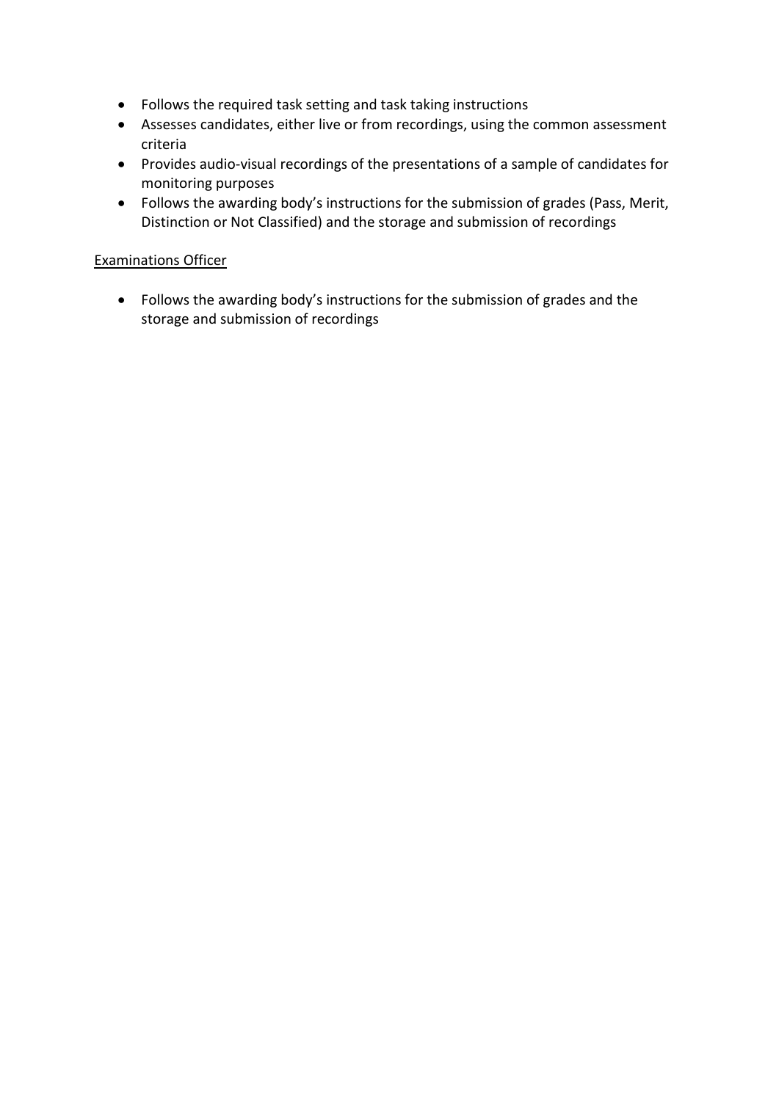- Follows the required task setting and task taking instructions
- Assesses candidates, either live or from recordings, using the common assessment criteria
- Provides audio-visual recordings of the presentations of a sample of candidates for monitoring purposes
- Follows the awarding body's instructions for the submission of grades (Pass, Merit, Distinction or Not Classified) and the storage and submission of recordings

#### Examinations Officer

<span id="page-13-0"></span> Follows the awarding body's instructions for the submission of grades and the storage and submission of recordings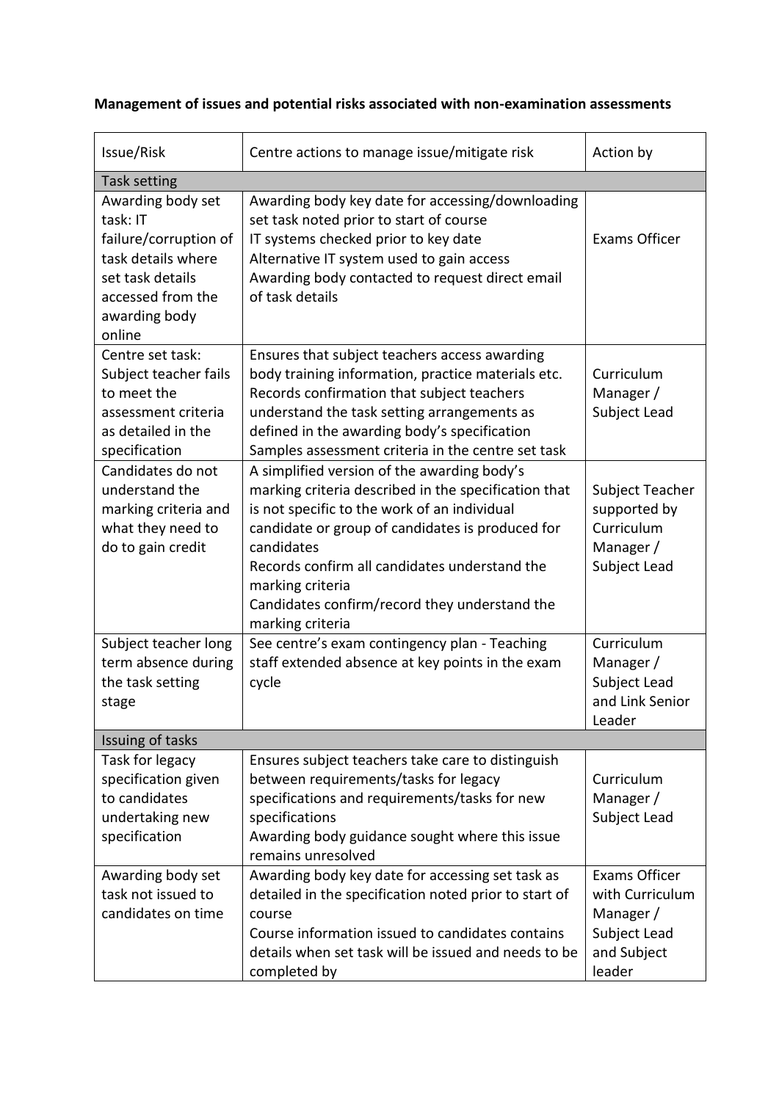| Issue/Risk                                                                                                                                       | Centre actions to manage issue/mitigate risk                                                                                                                                                                                                                                                                                                                    | Action by                                                                                     |
|--------------------------------------------------------------------------------------------------------------------------------------------------|-----------------------------------------------------------------------------------------------------------------------------------------------------------------------------------------------------------------------------------------------------------------------------------------------------------------------------------------------------------------|-----------------------------------------------------------------------------------------------|
| Task setting                                                                                                                                     |                                                                                                                                                                                                                                                                                                                                                                 |                                                                                               |
| Awarding body set<br>task: IT<br>failure/corruption of<br>task details where<br>set task details<br>accessed from the<br>awarding body<br>online | Awarding body key date for accessing/downloading<br>set task noted prior to start of course<br>IT systems checked prior to key date<br>Alternative IT system used to gain access<br>Awarding body contacted to request direct email<br>of task details                                                                                                          | <b>Exams Officer</b>                                                                          |
| Centre set task:<br>Subject teacher fails<br>to meet the<br>assessment criteria<br>as detailed in the<br>specification                           | Ensures that subject teachers access awarding<br>body training information, practice materials etc.<br>Records confirmation that subject teachers<br>understand the task setting arrangements as<br>defined in the awarding body's specification<br>Samples assessment criteria in the centre set task                                                          | Curriculum<br>Manager /<br>Subject Lead                                                       |
| Candidates do not<br>understand the<br>marking criteria and<br>what they need to<br>do to gain credit                                            | A simplified version of the awarding body's<br>marking criteria described in the specification that<br>is not specific to the work of an individual<br>candidate or group of candidates is produced for<br>candidates<br>Records confirm all candidates understand the<br>marking criteria<br>Candidates confirm/record they understand the<br>marking criteria | Subject Teacher<br>supported by<br>Curriculum<br>Manager /<br>Subject Lead                    |
| Subject teacher long<br>term absence during<br>the task setting<br>stage                                                                         | See centre's exam contingency plan - Teaching<br>staff extended absence at key points in the exam<br>cycle                                                                                                                                                                                                                                                      | Curriculum<br>Manager /<br>Subject Lead<br>and Link Senior<br>Leader                          |
| Issuing of tasks                                                                                                                                 |                                                                                                                                                                                                                                                                                                                                                                 |                                                                                               |
| Task for legacy<br>specification given<br>to candidates<br>undertaking new<br>specification                                                      | Ensures subject teachers take care to distinguish<br>between requirements/tasks for legacy<br>specifications and requirements/tasks for new<br>specifications<br>Awarding body guidance sought where this issue<br>remains unresolved                                                                                                                           | Curriculum<br>Manager /<br>Subject Lead                                                       |
| Awarding body set<br>task not issued to<br>candidates on time                                                                                    | Awarding body key date for accessing set task as<br>detailed in the specification noted prior to start of<br>course<br>Course information issued to candidates contains<br>details when set task will be issued and needs to be<br>completed by                                                                                                                 | <b>Exams Officer</b><br>with Curriculum<br>Manager /<br>Subject Lead<br>and Subject<br>leader |

## **Management of issues and potential risks associated with non-examination assessments**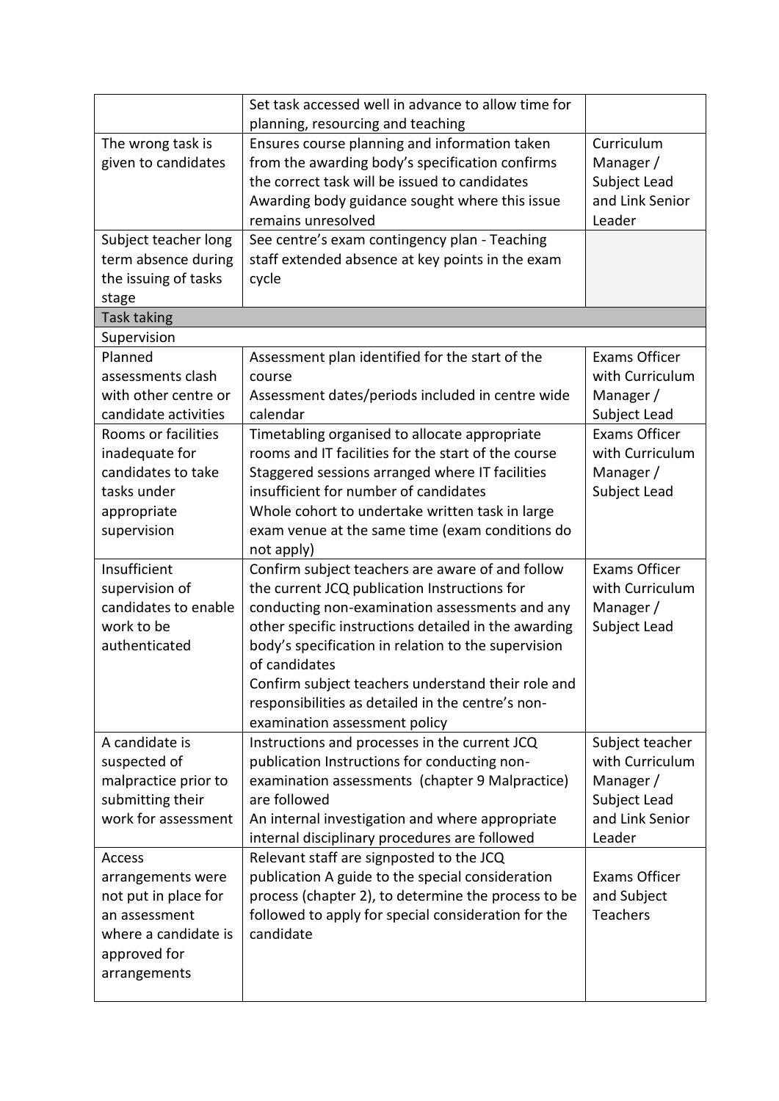|                      | Set task accessed well in advance to allow time for  |                      |
|----------------------|------------------------------------------------------|----------------------|
|                      | planning, resourcing and teaching                    |                      |
| The wrong task is    | Ensures course planning and information taken        | Curriculum           |
| given to candidates  | from the awarding body's specification confirms      | Manager /            |
|                      | the correct task will be issued to candidates        | Subject Lead         |
|                      | Awarding body guidance sought where this issue       | and Link Senior      |
|                      | remains unresolved                                   | Leader               |
| Subject teacher long | See centre's exam contingency plan - Teaching        |                      |
| term absence during  | staff extended absence at key points in the exam     |                      |
| the issuing of tasks | cycle                                                |                      |
| stage                |                                                      |                      |
| <b>Task taking</b>   |                                                      |                      |
| Supervision          |                                                      |                      |
| Planned              | Assessment plan identified for the start of the      | Exams Officer        |
| assessments clash    | course                                               | with Curriculum      |
| with other centre or | Assessment dates/periods included in centre wide     | Manager/             |
| candidate activities | calendar                                             | Subject Lead         |
| Rooms or facilities  | Timetabling organised to allocate appropriate        | Exams Officer        |
| inadequate for       | rooms and IT facilities for the start of the course  | with Curriculum      |
| candidates to take   | Staggered sessions arranged where IT facilities      | Manager/             |
| tasks under          | insufficient for number of candidates                | Subject Lead         |
| appropriate          | Whole cohort to undertake written task in large      |                      |
| supervision          | exam venue at the same time (exam conditions do      |                      |
|                      | not apply)                                           |                      |
| Insufficient         | Confirm subject teachers are aware of and follow     | <b>Exams Officer</b> |
| supervision of       | the current JCQ publication Instructions for         | with Curriculum      |
| candidates to enable | conducting non-examination assessments and any       | Manager/             |
| work to be           | other specific instructions detailed in the awarding | Subject Lead         |
| authenticated        | body's specification in relation to the supervision  |                      |
|                      | of candidates                                        |                      |
|                      | Confirm subject teachers understand their role and   |                      |
|                      | responsibilities as detailed in the centre's non-    |                      |
|                      | examination assessment policy                        |                      |
| A candidate is       | Instructions and processes in the current JCQ        | Subject teacher      |
| suspected of         | publication Instructions for conducting non-         | with Curriculum      |
| malpractice prior to | examination assessments (chapter 9 Malpractice)      | Manager /            |
| submitting their     | are followed                                         | Subject Lead         |
| work for assessment  | An internal investigation and where appropriate      | and Link Senior      |
|                      | internal disciplinary procedures are followed        | Leader               |
| Access               | Relevant staff are signposted to the JCQ             |                      |
| arrangements were    | publication A guide to the special consideration     | <b>Exams Officer</b> |
| not put in place for | process (chapter 2), to determine the process to be  | and Subject          |
| an assessment        | followed to apply for special consideration for the  | <b>Teachers</b>      |
| where a candidate is | candidate                                            |                      |
| approved for         |                                                      |                      |
| arrangements         |                                                      |                      |
|                      |                                                      |                      |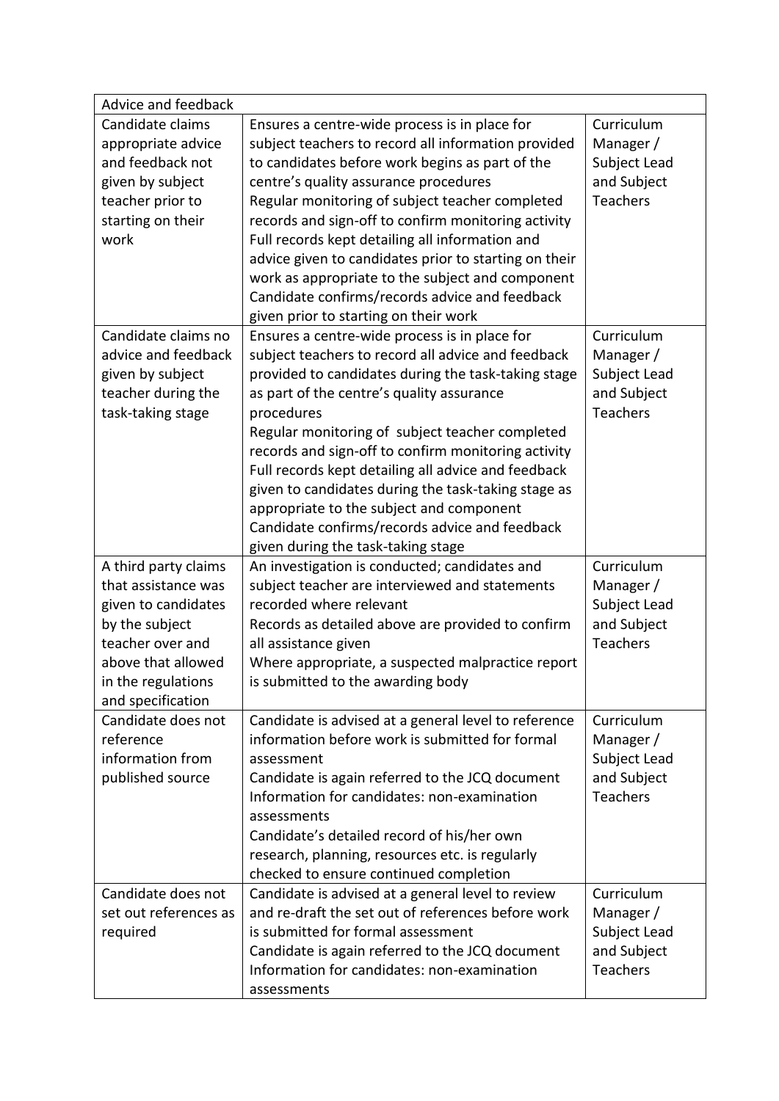| Advice and feedback   |                                                       |                 |  |
|-----------------------|-------------------------------------------------------|-----------------|--|
| Candidate claims      | Ensures a centre-wide process is in place for         | Curriculum      |  |
| appropriate advice    | subject teachers to record all information provided   | Manager /       |  |
| and feedback not      | to candidates before work begins as part of the       | Subject Lead    |  |
| given by subject      | centre's quality assurance procedures                 | and Subject     |  |
| teacher prior to      | Regular monitoring of subject teacher completed       | Teachers        |  |
| starting on their     | records and sign-off to confirm monitoring activity   |                 |  |
| work                  | Full records kept detailing all information and       |                 |  |
|                       | advice given to candidates prior to starting on their |                 |  |
|                       | work as appropriate to the subject and component      |                 |  |
|                       | Candidate confirms/records advice and feedback        |                 |  |
|                       | given prior to starting on their work                 |                 |  |
| Candidate claims no   | Ensures a centre-wide process is in place for         | Curriculum      |  |
| advice and feedback   | subject teachers to record all advice and feedback    | Manager /       |  |
| given by subject      | provided to candidates during the task-taking stage   | Subject Lead    |  |
| teacher during the    | as part of the centre's quality assurance             | and Subject     |  |
| task-taking stage     | procedures                                            | <b>Teachers</b> |  |
|                       | Regular monitoring of subject teacher completed       |                 |  |
|                       | records and sign-off to confirm monitoring activity   |                 |  |
|                       | Full records kept detailing all advice and feedback   |                 |  |
|                       | given to candidates during the task-taking stage as   |                 |  |
|                       | appropriate to the subject and component              |                 |  |
|                       | Candidate confirms/records advice and feedback        |                 |  |
|                       | given during the task-taking stage                    |                 |  |
| A third party claims  | An investigation is conducted; candidates and         | Curriculum      |  |
| that assistance was   | subject teacher are interviewed and statements        | Manager /       |  |
| given to candidates   | recorded where relevant                               | Subject Lead    |  |
| by the subject        | Records as detailed above are provided to confirm     | and Subject     |  |
| teacher over and      | all assistance given                                  | Teachers        |  |
| above that allowed    | Where appropriate, a suspected malpractice report     |                 |  |
| in the regulations    | is submitted to the awarding body                     |                 |  |
| and specification     |                                                       |                 |  |
| Candidate does not    | Candidate is advised at a general level to reference  | Curriculum      |  |
| reference             | information before work is submitted for formal       | Manager /       |  |
| information from      | assessment                                            | Subject Lead    |  |
| published source      | Candidate is again referred to the JCQ document       | and Subject     |  |
|                       | Information for candidates: non-examination           | Teachers        |  |
|                       | assessments                                           |                 |  |
|                       | Candidate's detailed record of his/her own            |                 |  |
|                       | research, planning, resources etc. is regularly       |                 |  |
|                       | checked to ensure continued completion                |                 |  |
| Candidate does not    | Candidate is advised at a general level to review     | Curriculum      |  |
| set out references as | and re-draft the set out of references before work    | Manager /       |  |
| required              | is submitted for formal assessment                    | Subject Lead    |  |
|                       | Candidate is again referred to the JCQ document       | and Subject     |  |
|                       | Information for candidates: non-examination           | Teachers        |  |
|                       | assessments                                           |                 |  |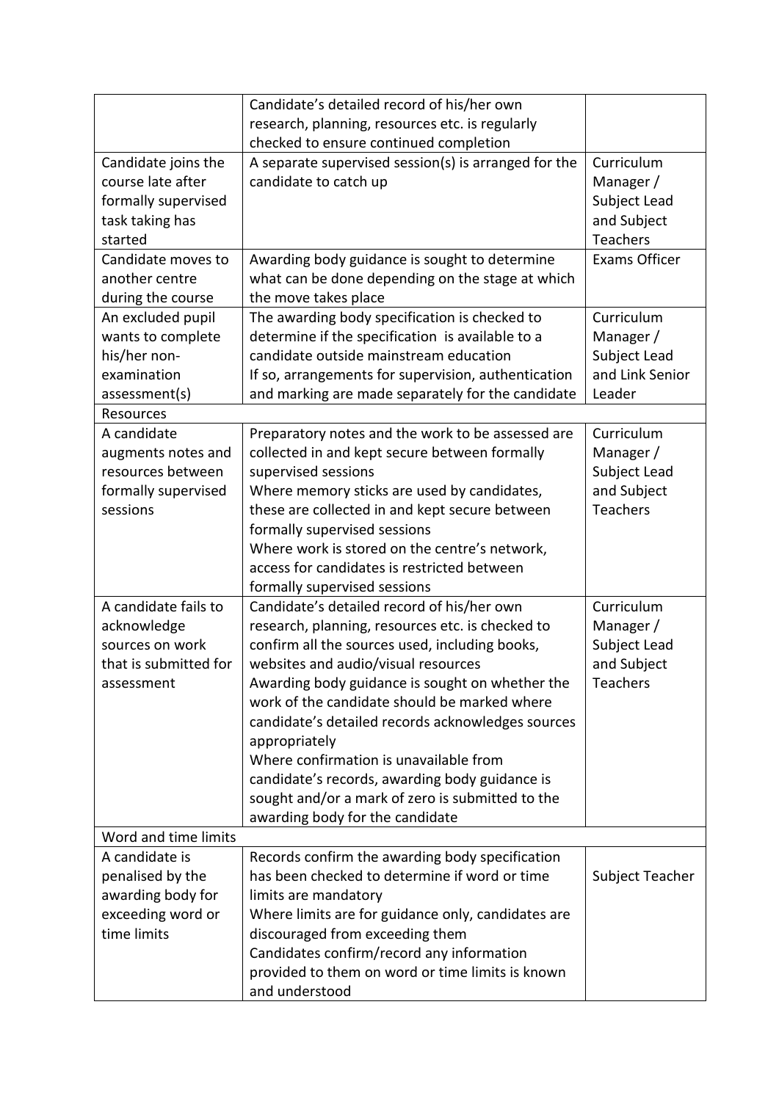|                       | Candidate's detailed record of his/her own           |                      |
|-----------------------|------------------------------------------------------|----------------------|
|                       | research, planning, resources etc. is regularly      |                      |
|                       | checked to ensure continued completion               |                      |
| Candidate joins the   | A separate supervised session(s) is arranged for the | Curriculum           |
| course late after     | candidate to catch up                                | Manager /            |
| formally supervised   |                                                      | Subject Lead         |
| task taking has       |                                                      | and Subject          |
| started               |                                                      | Teachers             |
| Candidate moves to    | Awarding body guidance is sought to determine        | <b>Exams Officer</b> |
| another centre        | what can be done depending on the stage at which     |                      |
| during the course     | the move takes place                                 |                      |
| An excluded pupil     | The awarding body specification is checked to        | Curriculum           |
| wants to complete     | determine if the specification is available to a     | Manager /            |
| his/her non-          | candidate outside mainstream education               | Subject Lead         |
| examination           | If so, arrangements for supervision, authentication  | and Link Senior      |
| assessment(s)         | and marking are made separately for the candidate    | Leader               |
| Resources             |                                                      |                      |
| A candidate           | Preparatory notes and the work to be assessed are    | Curriculum           |
| augments notes and    | collected in and kept secure between formally        | Manager /            |
| resources between     | supervised sessions                                  | Subject Lead         |
| formally supervised   | Where memory sticks are used by candidates,          | and Subject          |
| sessions              | these are collected in and kept secure between       | Teachers             |
|                       | formally supervised sessions                         |                      |
|                       | Where work is stored on the centre's network,        |                      |
|                       | access for candidates is restricted between          |                      |
|                       | formally supervised sessions                         |                      |
| A candidate fails to  | Candidate's detailed record of his/her own           | Curriculum           |
| acknowledge           | research, planning, resources etc. is checked to     | Manager /            |
| sources on work       | confirm all the sources used, including books,       | Subject Lead         |
| that is submitted for | websites and audio/visual resources                  | and Subject          |
| assessment            | Awarding body guidance is sought on whether the      | <b>Teachers</b>      |
|                       | work of the candidate should be marked where         |                      |
|                       | candidate's detailed records acknowledges sources    |                      |
|                       | appropriately                                        |                      |
|                       | Where confirmation is unavailable from               |                      |
|                       | candidate's records, awarding body guidance is       |                      |
|                       | sought and/or a mark of zero is submitted to the     |                      |
|                       | awarding body for the candidate                      |                      |
| Word and time limits  |                                                      |                      |
| A candidate is        | Records confirm the awarding body specification      |                      |
| penalised by the      | has been checked to determine if word or time        | Subject Teacher      |
| awarding body for     | limits are mandatory                                 |                      |
| exceeding word or     | Where limits are for guidance only, candidates are   |                      |
| time limits           | discouraged from exceeding them                      |                      |
|                       | Candidates confirm/record any information            |                      |
|                       | provided to them on word or time limits is known     |                      |
|                       | and understood                                       |                      |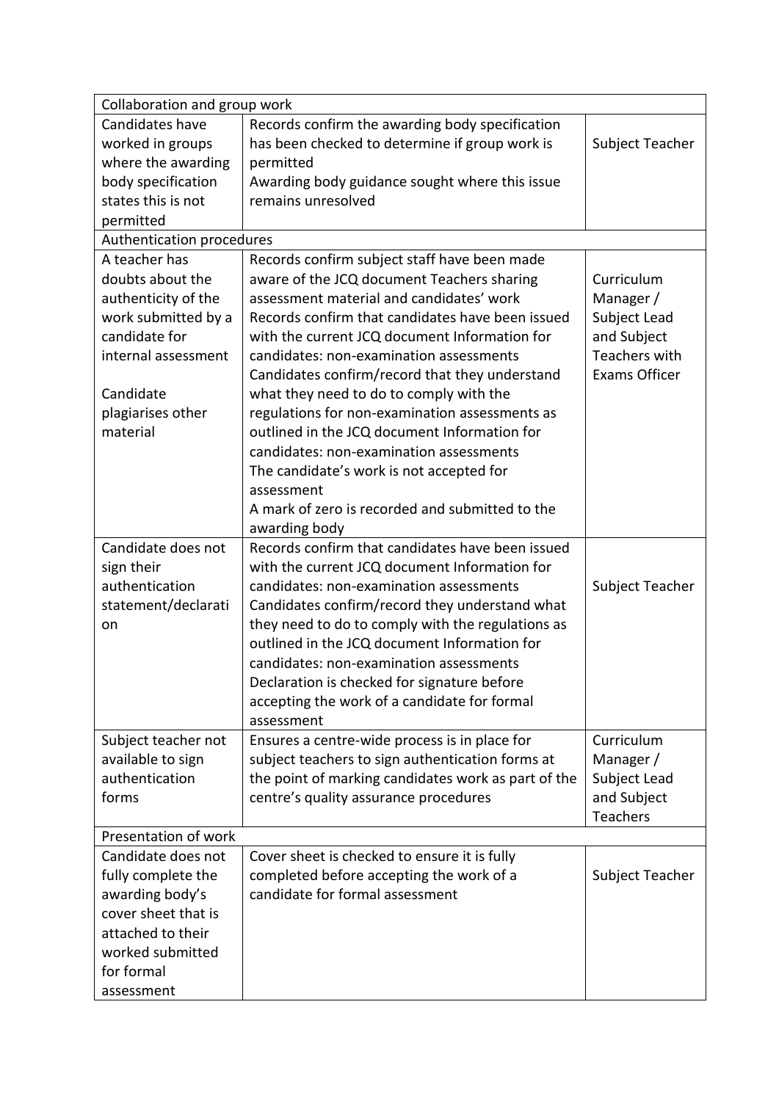| Collaboration and group work |                                                     |                      |  |
|------------------------------|-----------------------------------------------------|----------------------|--|
| Candidates have              | Records confirm the awarding body specification     |                      |  |
| worked in groups             | has been checked to determine if group work is      | Subject Teacher      |  |
| where the awarding           | permitted                                           |                      |  |
| body specification           | Awarding body guidance sought where this issue      |                      |  |
| states this is not           | remains unresolved                                  |                      |  |
| permitted                    |                                                     |                      |  |
| Authentication procedures    |                                                     |                      |  |
| A teacher has                | Records confirm subject staff have been made        |                      |  |
| doubts about the             | aware of the JCQ document Teachers sharing          | Curriculum           |  |
| authenticity of the          | assessment material and candidates' work            | Manager /            |  |
| work submitted by a          | Records confirm that candidates have been issued    | Subject Lead         |  |
| candidate for                | with the current JCQ document Information for       | and Subject          |  |
| internal assessment          | candidates: non-examination assessments             | <b>Teachers with</b> |  |
|                              | Candidates confirm/record that they understand      | <b>Exams Officer</b> |  |
| Candidate                    | what they need to do to comply with the             |                      |  |
| plagiarises other            | regulations for non-examination assessments as      |                      |  |
| material                     | outlined in the JCQ document Information for        |                      |  |
|                              | candidates: non-examination assessments             |                      |  |
|                              | The candidate's work is not accepted for            |                      |  |
|                              | assessment                                          |                      |  |
|                              | A mark of zero is recorded and submitted to the     |                      |  |
|                              | awarding body                                       |                      |  |
| Candidate does not           | Records confirm that candidates have been issued    |                      |  |
| sign their                   | with the current JCQ document Information for       |                      |  |
| authentication               | candidates: non-examination assessments             | Subject Teacher      |  |
| statement/declarati          | Candidates confirm/record they understand what      |                      |  |
| on                           | they need to do to comply with the regulations as   |                      |  |
|                              | outlined in the JCQ document Information for        |                      |  |
|                              | candidates: non-examination assessments             |                      |  |
|                              | Declaration is checked for signature before         |                      |  |
|                              | accepting the work of a candidate for formal        |                      |  |
|                              | assessment                                          |                      |  |
| Subject teacher not          | Ensures a centre-wide process is in place for       | Curriculum           |  |
| available to sign            | subject teachers to sign authentication forms at    | Manager /            |  |
| authentication               | the point of marking candidates work as part of the | Subject Lead         |  |
| forms                        | centre's quality assurance procedures               | and Subject          |  |
|                              |                                                     | Teachers             |  |
| Presentation of work         |                                                     |                      |  |
| Candidate does not           | Cover sheet is checked to ensure it is fully        |                      |  |
| fully complete the           | completed before accepting the work of a            | Subject Teacher      |  |
| awarding body's              | candidate for formal assessment                     |                      |  |
| cover sheet that is          |                                                     |                      |  |
| attached to their            |                                                     |                      |  |
| worked submitted             |                                                     |                      |  |
| for formal                   |                                                     |                      |  |
| assessment                   |                                                     |                      |  |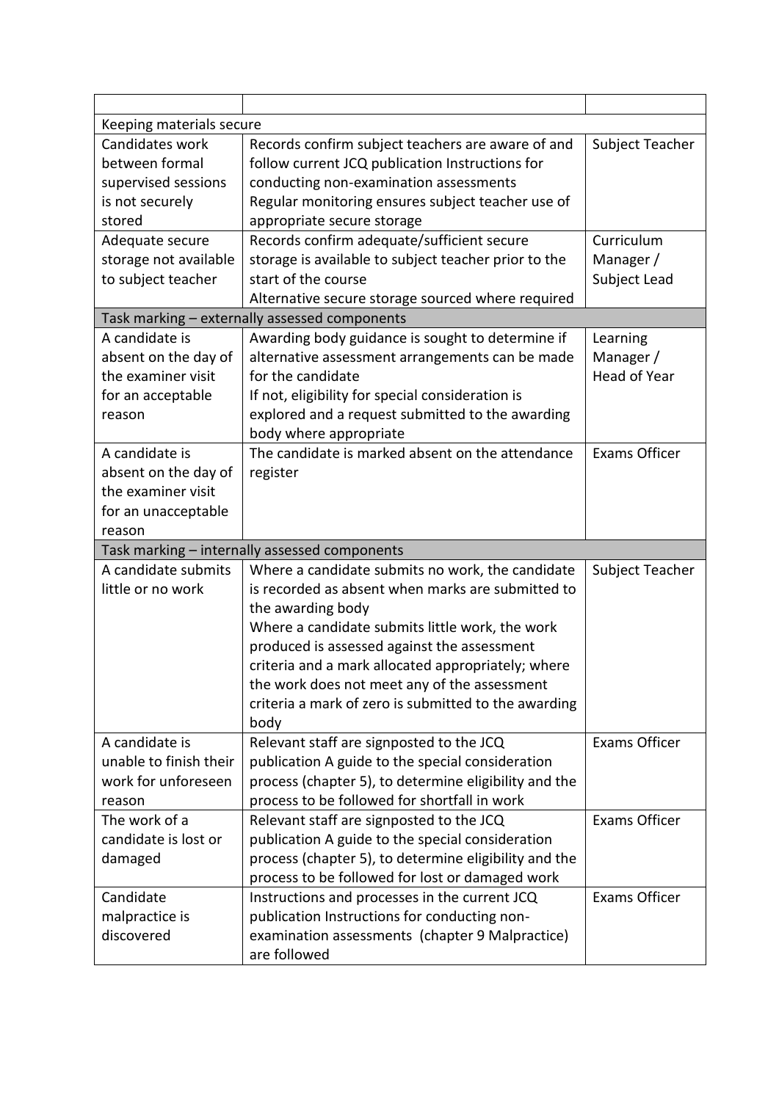| Keeping materials secure |                                                       |                      |
|--------------------------|-------------------------------------------------------|----------------------|
| Candidates work          | Records confirm subject teachers are aware of and     | Subject Teacher      |
| between formal           | follow current JCQ publication Instructions for       |                      |
| supervised sessions      | conducting non-examination assessments                |                      |
| is not securely          | Regular monitoring ensures subject teacher use of     |                      |
| stored                   | appropriate secure storage                            |                      |
| Adequate secure          | Records confirm adequate/sufficient secure            | Curriculum           |
| storage not available    | storage is available to subject teacher prior to the  | Manager /            |
| to subject teacher       | start of the course                                   | Subject Lead         |
|                          | Alternative secure storage sourced where required     |                      |
|                          | Task marking - externally assessed components         |                      |
| A candidate is           | Awarding body guidance is sought to determine if      | Learning             |
| absent on the day of     | alternative assessment arrangements can be made       | Manager /            |
| the examiner visit       | for the candidate                                     | <b>Head of Year</b>  |
| for an acceptable        | If not, eligibility for special consideration is      |                      |
| reason                   | explored and a request submitted to the awarding      |                      |
|                          | body where appropriate                                |                      |
| A candidate is           | The candidate is marked absent on the attendance      | <b>Exams Officer</b> |
| absent on the day of     | register                                              |                      |
| the examiner visit       |                                                       |                      |
| for an unacceptable      |                                                       |                      |
| reason                   |                                                       |                      |
|                          |                                                       |                      |
|                          | Task marking - internally assessed components         |                      |
| A candidate submits      | Where a candidate submits no work, the candidate      | Subject Teacher      |
| little or no work        | is recorded as absent when marks are submitted to     |                      |
|                          | the awarding body                                     |                      |
|                          | Where a candidate submits little work, the work       |                      |
|                          | produced is assessed against the assessment           |                      |
|                          | criteria and a mark allocated appropriately; where    |                      |
|                          | the work does not meet any of the assessment          |                      |
|                          | criteria a mark of zero is submitted to the awarding  |                      |
|                          | body                                                  |                      |
| A candidate is           | Relevant staff are signposted to the JCQ              | <b>Exams Officer</b> |
| unable to finish their   | publication A guide to the special consideration      |                      |
| work for unforeseen      | process (chapter 5), to determine eligibility and the |                      |
| reason                   | process to be followed for shortfall in work          |                      |
| The work of a            | Relevant staff are signposted to the JCQ              | <b>Exams Officer</b> |
| candidate is lost or     | publication A guide to the special consideration      |                      |
| damaged                  | process (chapter 5), to determine eligibility and the |                      |
|                          | process to be followed for lost or damaged work       |                      |
| Candidate                | Instructions and processes in the current JCQ         | <b>Exams Officer</b> |
| malpractice is           | publication Instructions for conducting non-          |                      |
| discovered               | examination assessments (chapter 9 Malpractice)       |                      |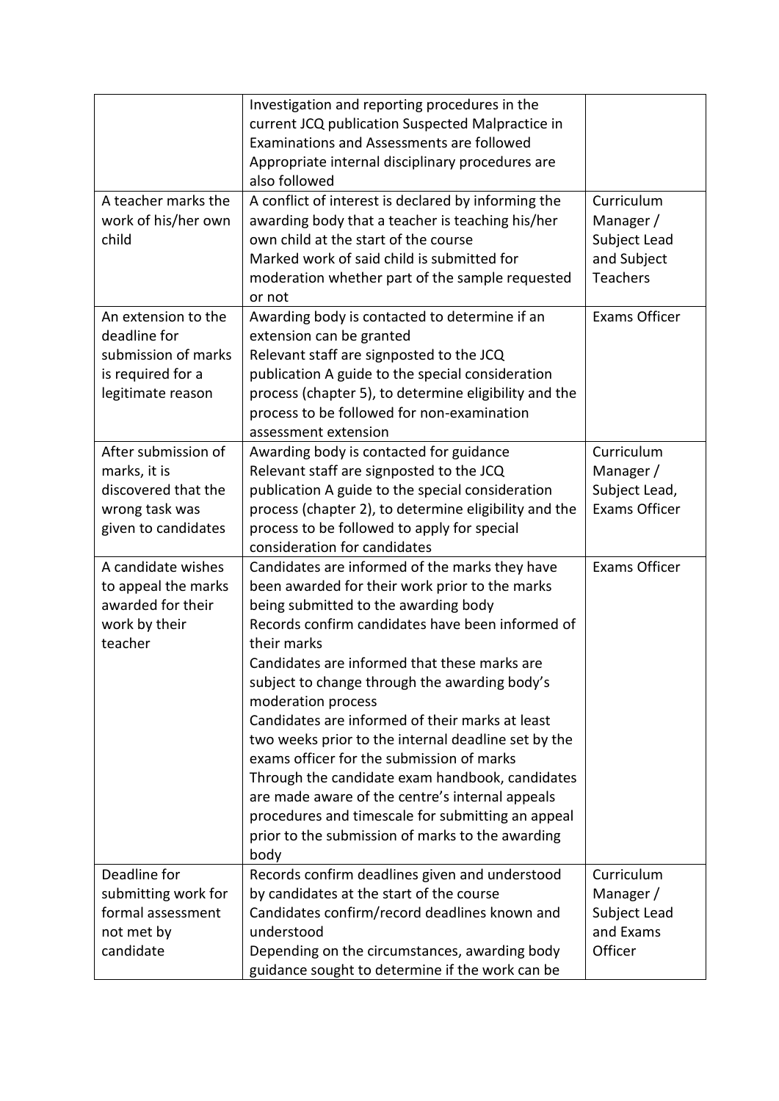|                     | Investigation and reporting procedures in the         |                      |
|---------------------|-------------------------------------------------------|----------------------|
|                     | current JCQ publication Suspected Malpractice in      |                      |
|                     | Examinations and Assessments are followed             |                      |
|                     | Appropriate internal disciplinary procedures are      |                      |
|                     | also followed                                         |                      |
| A teacher marks the | A conflict of interest is declared by informing the   | Curriculum           |
| work of his/her own | awarding body that a teacher is teaching his/her      | Manager /            |
| child               | own child at the start of the course                  | Subject Lead         |
|                     | Marked work of said child is submitted for            | and Subject          |
|                     | moderation whether part of the sample requested       | Teachers             |
|                     | or not                                                |                      |
| An extension to the | Awarding body is contacted to determine if an         | <b>Exams Officer</b> |
| deadline for        | extension can be granted                              |                      |
| submission of marks | Relevant staff are signposted to the JCQ              |                      |
| is required for a   | publication A guide to the special consideration      |                      |
| legitimate reason   | process (chapter 5), to determine eligibility and the |                      |
|                     | process to be followed for non-examination            |                      |
|                     | assessment extension                                  |                      |
| After submission of | Awarding body is contacted for guidance               | Curriculum           |
| marks, it is        | Relevant staff are signposted to the JCQ              | Manager /            |
| discovered that the | publication A guide to the special consideration      | Subject Lead,        |
| wrong task was      | process (chapter 2), to determine eligibility and the | <b>Exams Officer</b> |
| given to candidates | process to be followed to apply for special           |                      |
|                     | consideration for candidates                          |                      |
| A candidate wishes  | Candidates are informed of the marks they have        | <b>Exams Officer</b> |
| to appeal the marks | been awarded for their work prior to the marks        |                      |
| awarded for their   | being submitted to the awarding body                  |                      |
| work by their       | Records confirm candidates have been informed of      |                      |
| teacher             | their marks                                           |                      |
|                     | Candidates are informed that these marks are          |                      |
|                     | subject to change through the awarding body's         |                      |
|                     | moderation process                                    |                      |
|                     | Candidates are informed of their marks at least       |                      |
|                     | two weeks prior to the internal deadline set by the   |                      |
|                     | exams officer for the submission of marks             |                      |
|                     | Through the candidate exam handbook, candidates       |                      |
|                     | are made aware of the centre's internal appeals       |                      |
|                     | procedures and timescale for submitting an appeal     |                      |
|                     | prior to the submission of marks to the awarding      |                      |
|                     | body                                                  |                      |
| Deadline for        | Records confirm deadlines given and understood        | Curriculum           |
| submitting work for | by candidates at the start of the course              | Manager/             |
| formal assessment   | Candidates confirm/record deadlines known and         | Subject Lead         |
| not met by          | understood                                            | and Exams            |
| candidate           | Depending on the circumstances, awarding body         | Officer              |
|                     | guidance sought to determine if the work can be       |                      |